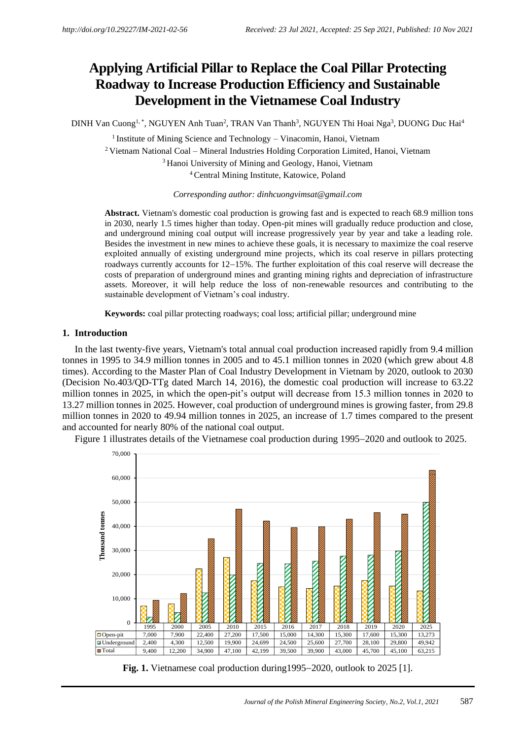# **Applying Artificial Pillar to Replace the Coal Pillar Protecting Roadway to Increase Production Efficiency and Sustainable Development in the Vietnamese Coal Industry**

DINH Van Cuong<sup>1, \*</sup>, NGUYEN Anh Tuan<sup>2</sup>, TRAN Van Thanh<sup>3</sup>, NGUYEN Thi Hoai Nga<sup>3</sup>, DUONG Duc Hai<sup>4</sup>

<sup>1</sup> Institute of Mining Science and Technology – Vinacomin, Hanoi, Vietnam <sup>2</sup>Vietnam National Coal – Mineral Industries Holding Corporation Limited, Hanoi, Vietnam <sup>3</sup> Hanoi University of Mining and Geology, Hanoi, Vietnam <sup>4</sup>Central Mining Institute, Katowice, Poland

*Corresponding author: [dinhcuongvimsat@gmail.com](mailto:dinhcuongvimsat@gmail.com)*

**Abstract.** Vietnam's domestic coal production is growing fast and is expected to reach 68.9 million tons in 2030, nearly 1.5 times higher than today. Open-pit mines will gradually reduce production and close, and underground mining coal output will increase progressively year by year and take a leading role. Besides the investment in new mines to achieve these goals, it is necessary to maximize the coal reserve exploited annually of existing underground mine projects, which its coal reserve in pillars protecting roadways currently accounts for 12−15%. The further exploitation of this coal reserve will decrease the costs of preparation of underground mines and granting mining rights and depreciation of infrastructure assets. Moreover, it will help reduce the loss of non-renewable resources and contributing to the sustainable development of Vietnam's coal industry.

**Keywords:** coal pillar protecting roadways; coal loss; artificial pillar; underground mine

#### **1. Introduction**

In the last twenty-five years, Vietnam's total annual coal production increased rapidly from 9.4 million tonnes in 1995 to 34.9 million tonnes in 2005 and to 45.1 million tonnes in 2020 (which grew about 4.8 times). According to the Master Plan of Coal Industry Development in Vietnam by 2020, outlook to 2030 (Decision No.403/QD-TTg dated March 14, 2016), the domestic coal production will increase to 63.22 million tonnes in 2025, in which the open-pit's output will decrease from 15.3 million tonnes in 2020 to 13.27 million tonnes in 2025. However, coal production of underground mines is growing faster, from 29.8 million tonnes in 2020 to 49.94 million tonnes in 2025, an increase of 1.7 times compared to the present and accounted for nearly 80% of the national coal output.



Figure 1 illustrates details of the Vietnamese coal production during 1995−2020 and outlook to 2025.

**Fig. 1.** Vietnamese coal production during1995−2020, outlook to 2025 [1].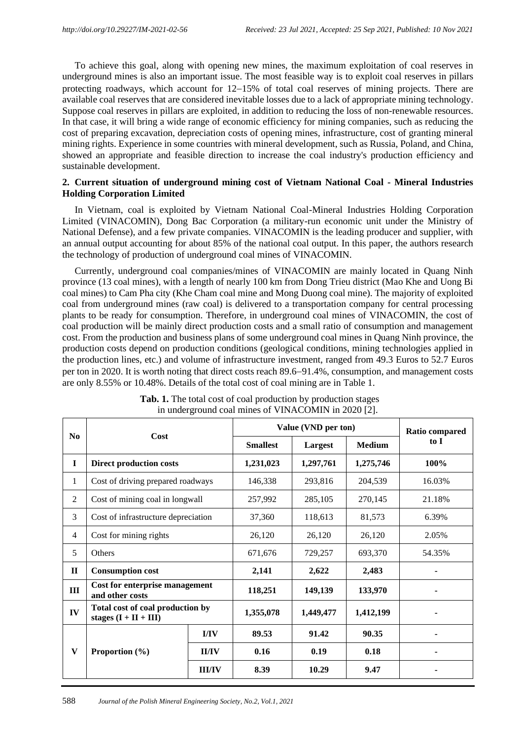To achieve this goal, along with opening new mines, the maximum exploitation of coal reserves in underground mines is also an important issue. The most feasible way is to exploit coal reserves in pillars protecting roadways, which account for 12−15% of total coal reserves of mining projects. There are available coal reserves that are considered inevitable losses due to a lack of appropriate mining technology. Suppose coal reserves in pillars are exploited, in addition to reducing the loss of non-renewable resources. In that case, it will bring a wide range of economic efficiency for mining companies, such as reducing the cost of preparing excavation, depreciation costs of opening mines, infrastructure, cost of granting mineral mining rights. Experience in some countries with mineral development, such as Russia, Poland, and China, showed an appropriate and feasible direction to increase the coal industry's production efficiency and sustainable development.

## **2. Current situation of underground mining cost of Vietnam National Coal - Mineral Industries Holding Corporation Limited**

In Vietnam, coal is exploited by Vietnam National Coal-Mineral Industries Holding Corporation Limited (VINACOMIN), Dong Bac Corporation (a military-run economic unit under the Ministry of National Defense), and a few private companies. VINACOMIN is the leading producer and supplier, with an annual output accounting for about 85% of the national coal output. In this paper, the authors research the technology of production of underground coal mines of VINACOMIN.

Currently, underground coal companies/mines of VINACOMIN are mainly located in Quang Ninh province (13 coal mines), with a length of nearly 100 km from Dong Trieu district (Mao Khe and Uong Bi coal mines) to Cam Pha city (Khe Cham coal mine and Mong Duong coal mine). The majority of exploited coal from underground mines (raw coal) is delivered to a transportation company for central processing plants to be ready for consumption. Therefore, in underground coal mines of VINACOMIN, the cost of coal production will be mainly direct production costs and a small ratio of consumption and management cost. From the production and business plans of some underground coal mines in Quang Ninh province, the production costs depend on production conditions (geological conditions, mining technologies applied in the production lines, etc.) and volume of infrastructure investment, ranged from 49.3 Euros to 52.7 Euros per ton in 2020. It is worth noting that direct costs reach 89.6−91.4%, consumption, and management costs are only 8.55% or 10.48%. Details of the total cost of coal mining are in Table 1.

| N <sub>0</sub> | Cost                                                        |               | Value (VND per ton) | <b>Ratio compared</b> |               |        |
|----------------|-------------------------------------------------------------|---------------|---------------------|-----------------------|---------------|--------|
|                |                                                             |               | <b>Smallest</b>     | Largest               | <b>Medium</b> | to I   |
| $\mathbf{I}$   | <b>Direct production costs</b>                              |               | 1,231,023           | 1,297,761             | 1,275,746     | 100%   |
| 1              | Cost of driving prepared roadways                           |               | 146,338             | 293,816               | 204,539       | 16.03% |
| $\overline{2}$ | Cost of mining coal in longwall                             | 257,992       | 285,105             | 270,145               | 21.18%        |        |
| 3              | Cost of infrastructure depreciation                         |               | 37,360              | 118,613               | 81,573        | 6.39%  |
| $\overline{4}$ | Cost for mining rights                                      |               | 26,120              | 26,120                | 26,120        | 2.05%  |
| 5              | <b>Others</b>                                               |               | 671,676             | 729,257               | 693,370       | 54.35% |
| $\mathbf{I}$   | <b>Consumption cost</b>                                     |               | 2,141               | 2,622                 | 2,483         |        |
| Ш              | Cost for enterprise management<br>and other costs           |               | 118,251             | 149,139               | 133,970       |        |
| IV             | Total cost of coal production by<br>stages $(I + II + III)$ |               | 1,355,078           | 1,449,477             | 1,412,199     |        |
|                | Proportion $(\% )$                                          | I/IV          | 89.53               | 91.42                 | 90.35         |        |
| $\mathbf{V}$   |                                                             | <b>II/IV</b>  | 0.16                | 0.19                  | 0.18          |        |
|                |                                                             | <b>III/IV</b> | 8.39                | 10.29                 | 9.47          |        |

| <b>Tab. 1.</b> The total cost of coal production by production stages |  |
|-----------------------------------------------------------------------|--|
| in underground coal mines of VINACOMIN in 2020 [2].                   |  |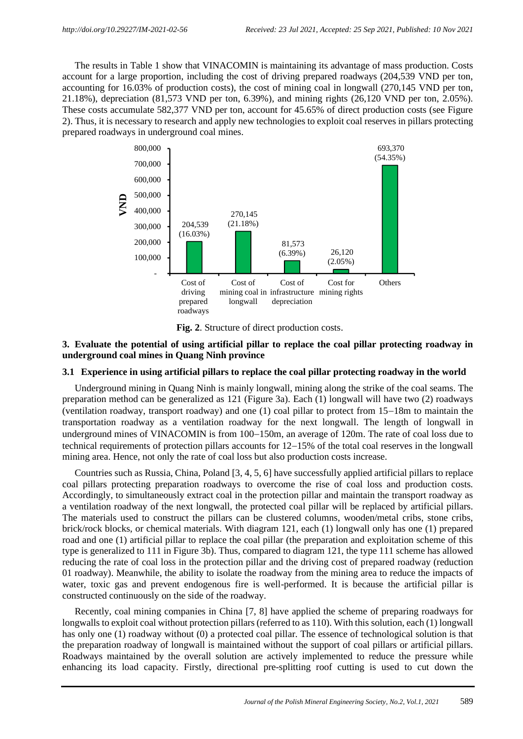The results in Table 1 show that VINACOMIN is maintaining its advantage of mass production. Costs account for a large proportion, including the cost of driving prepared roadways (204,539 VND per ton, accounting for 16.03% of production costs), the cost of mining coal in longwall (270,145 VND per ton, 21.18%), depreciation (81,573 VND per ton, 6.39%), and mining rights (26,120 VND per ton, 2.05%). These costs accumulate 582,377 VND per ton, account for 45.65% of direct production costs (see Figure 2). Thus, it is necessary to research and apply new technologies to exploit coal reserves in pillars protecting prepared roadways in underground coal mines.



**Fig. 2**. Structure of direct production costs.

## **3. Evaluate the potential of using artificial pillar to replace the coal pillar protecting roadway in underground coal mines in Quang Ninh province**

### **3.1 Experience in using artificial pillars to replace the coal pillar protecting roadway in the world**

Underground mining in Quang Ninh is mainly longwall, mining along the strike of the coal seams. The preparation method can be generalized as 121 (Figure 3a). Each (1) longwall will have two (2) roadways (ventilation roadway, transport roadway) and one (1) coal pillar to protect from 15−18m to maintain the transportation roadway as a ventilation roadway for the next longwall. The length of longwall in underground mines of VINACOMIN is from 100−150m, an average of 120m. The rate of coal loss due to technical requirements of protection pillars accounts for 12−15% of the total coal reserves in the longwall mining area. Hence, not only the rate of coal loss but also production costs increase.

Countries such as Russia, China, Poland [3, 4, 5, 6] have successfully applied artificial pillars to replace coal pillars protecting preparation roadways to overcome the rise of coal loss and production costs. Accordingly, to simultaneously extract coal in the protection pillar and maintain the transport roadway as a ventilation roadway of the next longwall, the protected coal pillar will be replaced by artificial pillars. The materials used to construct the pillars can be clustered columns, wooden/metal cribs, stone cribs, brick/rock blocks, or chemical materials. With diagram 121, each (1) longwall only has one (1) prepared road and one (1) artificial pillar to replace the coal pillar (the preparation and exploitation scheme of this type is generalized to 111 in Figure 3b). Thus, compared to diagram 121, the type 111 scheme has allowed reducing the rate of coal loss in the protection pillar and the driving cost of prepared roadway (reduction 01 roadway). Meanwhile, the ability to isolate the roadway from the mining area to reduce the impacts of water, toxic gas and prevent endogenous fire is well-performed. It is because the artificial pillar is constructed continuously on the side of the roadway.

Recently, coal mining companies in China [7, 8] have applied the scheme of preparing roadways for longwalls to exploit coal without protection pillars (referred to as 110). With this solution, each (1) longwall has only one (1) roadway without (0) a protected coal pillar. The essence of technological solution is that the preparation roadway of longwall is maintained without the support of coal pillars or artificial pillars. Roadways maintained by the overall solution are actively implemented to reduce the pressure while enhancing its load capacity. Firstly, directional pre-splitting roof cutting is used to cut down the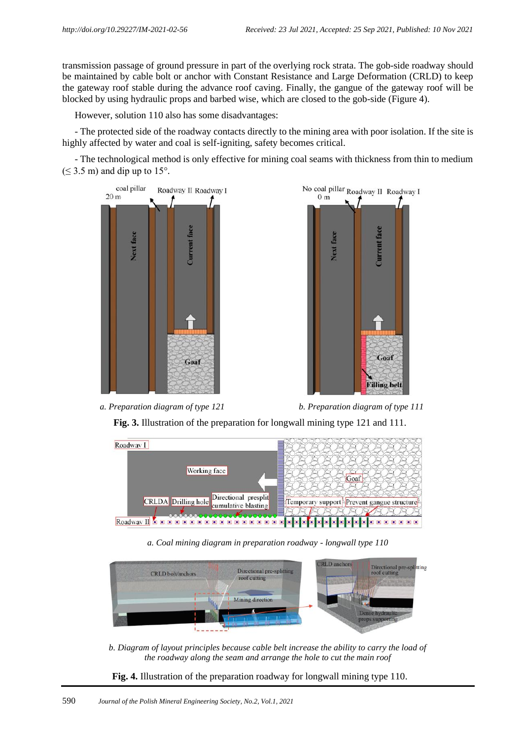transmission passage of ground pressure in part of the overlying rock strata. The gob-side roadway should be maintained by cable bolt or anchor with Constant Resistance and Large Deformation (CRLD) to keep the gateway roof stable during the advance roof caving. Finally, the gangue of the gateway roof will be blocked by using hydraulic props and barbed wise, which are closed to the gob-side (Figure 4).

However, solution 110 also has some disadvantages:

- The protected side of the roadway contacts directly to the mining area with poor isolation. If the site is highly affected by water and coal is self-igniting, safety becomes critical.

- The technological method is only effective for mining coal seams with thickness from thin to medium  $(\leq 3.5 \text{ m})$  and dip up to 15°.







*a. Preparation diagram of type 121 b. Preparation diagram of type 111*

**Fig. 3.** Illustration of the preparation for longwall mining type 121 and 111.



*a. Coal mining diagram in preparation roadway - longwall type 110*



*b. Diagram of layout principles because cable belt increase the ability to carry the load of the roadway along the seam and arrange the hole to cut the main roof*

**Fig. 4.** Illustration of the preparation roadway for longwall mining type 110.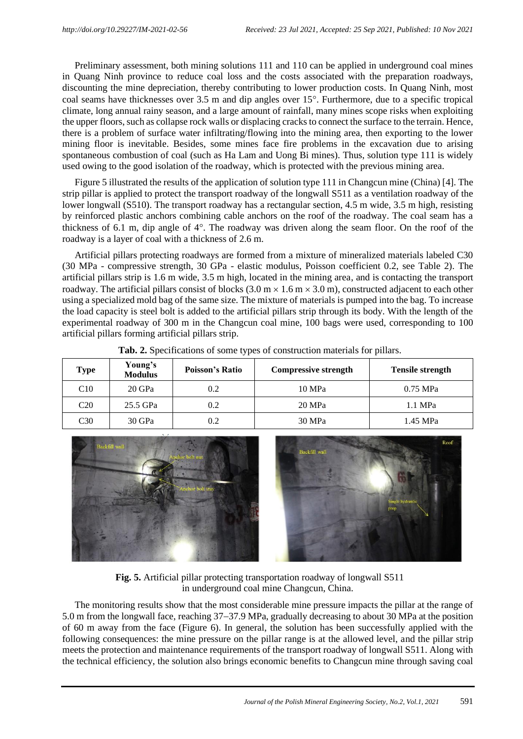Preliminary assessment, both mining solutions 111 and 110 can be applied in underground coal mines in Quang Ninh province to reduce coal loss and the costs associated with the preparation roadways, discounting the mine depreciation, thereby contributing to lower production costs. In Quang Ninh, most coal seams have thicknesses over 3.5 m and dip angles over 15. Furthermore, due to a specific tropical climate, long annual rainy season, and a large amount of rainfall, many mines scope risks when exploiting the upper floors, such as collapse rock walls or displacing cracks to connect the surface to the terrain. Hence, there is a problem of surface water infiltrating/flowing into the mining area, then exporting to the lower mining floor is inevitable. Besides, some mines face fire problems in the excavation due to arising spontaneous combustion of coal (such as Ha Lam and Uong Bi mines). Thus, solution type 111 is widely used owing to the good isolation of the roadway, which is protected with the previous mining area.

Figure 5 illustrated the results of the application of solution type 111 in Changcun mine (China) [4]. The strip pillar is applied to protect the transport roadway of the longwall S511 as a ventilation roadway of the lower longwall (S510). The transport roadway has a rectangular section, 4.5 m wide, 3.5 m high, resisting by reinforced plastic anchors combining cable anchors on the roof of the roadway. The coal seam has a thickness of 6.1 m, dip angle of  $4^\circ$ . The roadway was driven along the seam floor. On the roof of the roadway is a layer of coal with a thickness of 2.6 m.

Artificial pillars protecting roadways are formed from a mixture of mineralized materials labeled C30 (30 MPa - compressive strength, 30 GPa - elastic modulus, Poisson coefficient 0.2, see Table 2). The artificial pillars strip is 1.6 m wide, 3.5 m high, located in the mining area, and is contacting the transport roadway. The artificial pillars consist of blocks  $(3.0 \text{ m} \times 1.6 \text{ m} \times 3.0 \text{ m})$ , constructed adjacent to each other using a specialized mold bag of the same size. The mixture of materials is pumped into the bag. To increase the load capacity is steel bolt is added to the artificial pillars strip through its body. With the length of the experimental roadway of 300 m in the Changcun coal mine, 100 bags were used, corresponding to 100 artificial pillars forming artificial pillars strip.

| <b>Type</b>     | Young's<br><b>Modulus</b> | <b>Poisson's Ratio</b> | <b>Compressive strength</b> | <b>Tensile strength</b> |
|-----------------|---------------------------|------------------------|-----------------------------|-------------------------|
| C10             | 20 GPa                    | 0.2                    | 10 MPa                      | $0.75$ MPa              |
| C <sub>20</sub> | 25.5 GPa                  | 0.2                    | 20 MPa                      | 1.1 MPa                 |
| C <sub>30</sub> | 30 GPa                    | 0.2                    | 30 MPa                      | 1.45 MPa                |

**Tab. 2.** Specifications of some types of construction materials for pillars.



**Fig. 5.** Artificial pillar protecting transportation roadway of longwall S511 in underground coal mine Changcun, China.

The monitoring results show that the most considerable mine pressure impacts the pillar at the range of 5.0 m from the longwall face, reaching 37−37.9 MPa, gradually decreasing to about 30 MPa at the position of 60 m away from the face (Figure 6). In general, the solution has been successfully applied with the following consequences: the mine pressure on the pillar range is at the allowed level, and the pillar strip meets the protection and maintenance requirements of the transport roadway of longwall S511. Along with the technical efficiency, the solution also brings economic benefits to Changcun mine through saving coal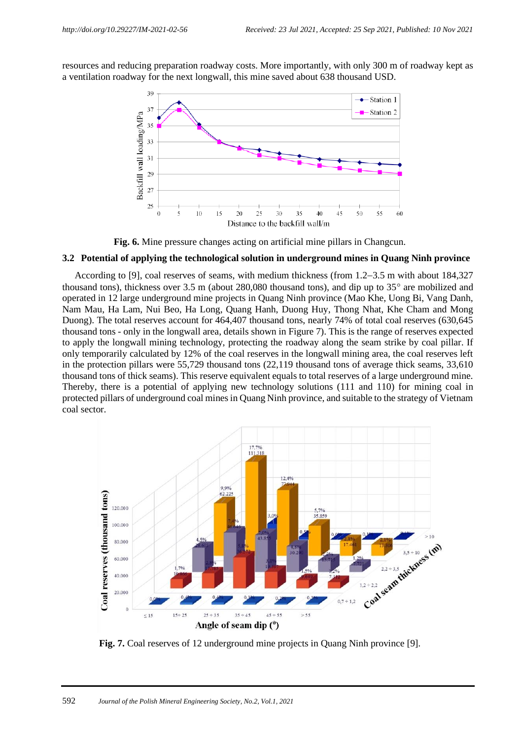resources and reducing preparation roadway costs. More importantly, with only 300 m of roadway kept as a ventilation roadway for the next longwall, this mine saved about 638 thousand USD.



**Fig. 6.** Mine pressure changes acting on artificial mine pillars in Changcun.

#### **3.2 Potential of applying the technological solution in underground mines in Quang Ninh province**

According to [9], coal reserves of seams, with medium thickness (from 1.2−3.5 m with about 184,327 thousand tons), thickness over 3.5 m (about 280,080 thousand tons), and dip up to  $35^{\circ}$  are mobilized and operated in 12 large underground mine projects in Quang Ninh province (Mao Khe, Uong Bi, Vang Danh, Nam Mau, Ha Lam, Nui Beo, Ha Long, Quang Hanh, Duong Huy, Thong Nhat, Khe Cham and Mong Duong). The total reserves account for 464,407 thousand tons, nearly 74% of total coal reserves (630,645 thousand tons - only in the longwall area, details shown in Figure 7). This is the range of reserves expected to apply the longwall mining technology, protecting the roadway along the seam strike by coal pillar. If only temporarily calculated by 12% of the coal reserves in the longwall mining area, the coal reserves left in the protection pillars were 55,729 thousand tons (22,119 thousand tons of average thick seams, 33,610 thousand tons of thick seams). This reserve equivalent equals to total reserves of a large underground mine. Thereby, there is a potential of applying new technology solutions (111 and 110) for mining coal in protected pillars of underground coal mines in Quang Ninh province, and suitable to the strategy of Vietnam coal sector.



**Fig. 7.** Coal reserves of 12 underground mine projects in Quang Ninh province [9].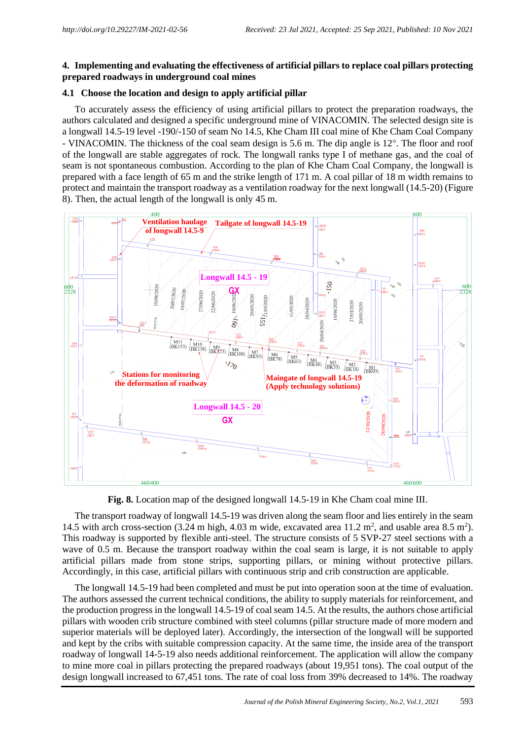# **4. Implementing and evaluating the effectiveness of artificial pillars to replace coal pillars protecting prepared roadways in underground coal mines**

# **4.1 Choose the location and design to apply artificial pillar**

To accurately assess the efficiency of using artificial pillars to protect the preparation roadways, the authors calculated and designed a specific underground mine of VINACOMIN. The selected design site is a longwall 14.5-19 level -190/-150 of seam No 14.5, Khe Cham III coal mine of Khe Cham Coal Company - VINACOMIN. The thickness of the coal seam design is 5.6 m. The dip angle is 12°. The floor and roof of the longwall are stable aggregates of rock. The longwall ranks type I of methane gas, and the coal of seam is not spontaneous combustion. According to the plan of Khe Cham Coal Company, the longwall is prepared with a face length of 65 m and the strike length of 171 m. A coal pillar of 18 m width remains to protect and maintain the transport roadway as a ventilation roadway for the next longwall (14.5-20) (Figure 8). Then, the actual length of the longwall is only 45 m.



**Fig. 8.** Location map of the designed longwall 14.5-19 in Khe Cham coal mine III.

The transport roadway of longwall 14.5-19 was driven along the seam floor and lies entirely in the seam 14.5 with arch cross-section (3.24 m high, 4.03 m wide, excavated area 11.2 m<sup>2</sup>, and usable area 8.5 m<sup>2</sup>). This roadway is supported by flexible anti-steel. The structure consists of 5 SVP-27 steel sections with a wave of 0.5 m. Because the transport roadway within the coal seam is large, it is not suitable to apply artificial pillars made from stone strips, supporting pillars, or mining without protective pillars. Accordingly, in this case, artificial pillars with continuous strip and crib construction are applicable.

The longwall 14.5-19 had been completed and must be put into operation soon at the time of evaluation. The authors assessed the current technical conditions, the ability to supply materials for reinforcement, and the production progress in the longwall 14.5-19 of coal seam 14.5. At the results, the authors chose artificial pillars with wooden crib structure combined with steel columns (pillar structure made of more modern and superior materials will be deployed later). Accordingly, the intersection of the longwall will be supported and kept by the cribs with suitable compression capacity. At the same time, the inside area of the transport roadway of longwall 14-5-19 also needs additional reinforcement. The application will allow the company to mine more coal in pillars protecting the prepared roadways (about 19,951 tons). The coal output of the design longwall increased to 67,451 tons. The rate of coal loss from 39% decreased to 14%. The roadway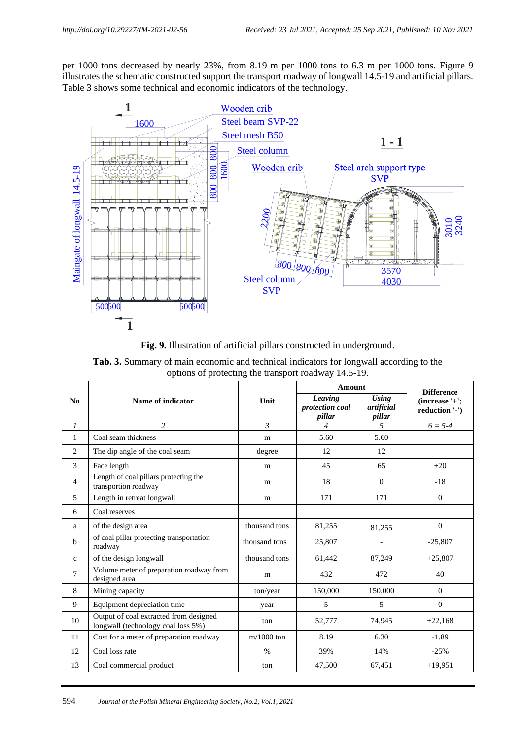per 1000 tons decreased by nearly 23%, from 8.19 m per 1000 tons to 6.3 m per 1000 tons. Figure 9 illustrates the schematic constructed support the transport roadway of longwall 14.5-19 and artificial pillars. Table 3 shows some technical and economic indicators of the technology.



**Fig. 9.** Illustration of artificial pillars constructed in underground.

|  |                                                      |  |  | <b>Tab. 3.</b> Summary of main economic and technical indicators for longwall according to the |  |
|--|------------------------------------------------------|--|--|------------------------------------------------------------------------------------------------|--|
|  | options of protecting the transport roadway 14.5-19. |  |  |                                                                                                |  |

|               |                                                                              |                | Amount                               | <b>Difference</b>                    |                                  |
|---------------|------------------------------------------------------------------------------|----------------|--------------------------------------|--------------------------------------|----------------------------------|
| No            | Name of indicator                                                            | Unit           | Leaving<br>protection coal<br>pillar | <b>Using</b><br>artificial<br>pillar | (increase '+';<br>reduction '-') |
| $\mathcal{I}$ | $\overline{c}$                                                               | $\mathfrak{Z}$ | $\overline{4}$                       | $\mathfrak{H}$                       | $6 = 5-4$                        |
| $\mathbf{1}$  | Coal seam thickness                                                          | m              | 5.60                                 | 5.60                                 |                                  |
| 2             | The dip angle of the coal seam                                               | degree         | 12                                   | 12                                   |                                  |
| 3             | Face length                                                                  | m              | 45                                   | 65                                   | $+20$                            |
| 4             | Length of coal pillars protecting the<br>transportion roadway                | m              | 18                                   | $\Omega$                             | $-18$                            |
| 5             | Length in retreat longwall                                                   | m              | 171                                  | 171                                  | $\mathbf{0}$                     |
| 6             | Coal reserves                                                                |                |                                      |                                      |                                  |
| a             | of the design area                                                           | thousand tons  | 81,255                               | 81.255                               | $\mathbf{0}$                     |
| b             | of coal pillar protecting transportation<br>roadway                          | thousand tons  | 25,807                               |                                      | $-25,807$                        |
| $\mathbf{c}$  | of the design longwall                                                       | thousand tons  | 61,442                               | 87,249                               | $+25,807$                        |
| 7             | Volume meter of preparation roadway from<br>designed area                    | m              | 432                                  | 472                                  | 40                               |
| 8             | Mining capacity                                                              | ton/year       | 150,000                              | 150,000                              | $\Omega$                         |
| 9             | Equipment depreciation time                                                  | year           | 5                                    | 5                                    | $\mathbf{0}$                     |
| 10            | Output of coal extracted from designed<br>longwall (technology coal loss 5%) | ton            | 52,777                               | 74,945                               | $+22,168$                        |
| 11            | Cost for a meter of preparation roadway                                      | $m/1000$ ton   | 8.19                                 | 6.30                                 | $-1.89$                          |
| 12            | Coal loss rate                                                               | $\%$           | 39%                                  | 14%                                  | $-25%$                           |
| 13            | Coal commercial product                                                      | ton            | 47,500                               | 67,451                               | $+19,951$                        |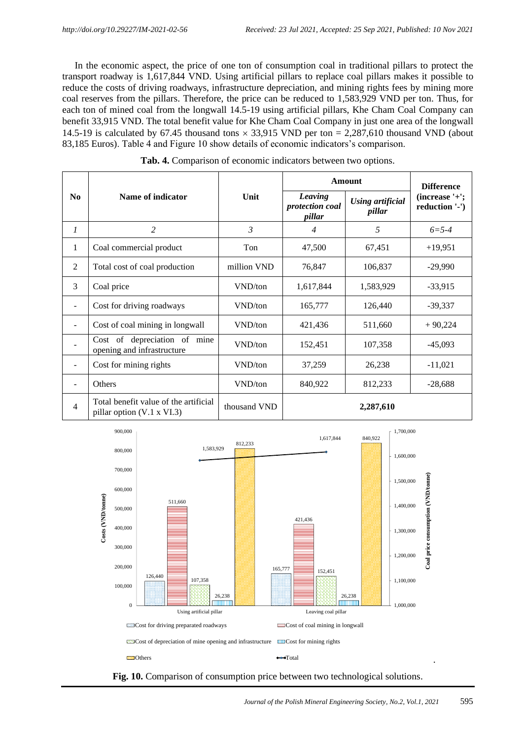In the economic aspect, the price of one ton of consumption coal in traditional pillars to protect the transport roadway is 1,617,844 VND. Using artificial pillars to replace coal pillars makes it possible to reduce the costs of driving roadways, infrastructure depreciation, and mining rights fees by mining more coal reserves from the pillars. Therefore, the price can be reduced to 1,583,929 VND per ton. Thus, for each ton of mined coal from the longwall 14.5-19 using artificial pillars, Khe Cham Coal Company can benefit 33,915 VND. The total benefit value for Khe Cham Coal Company in just one area of the longwall 14.5-19 is calculated by 67.45 thousand tons  $\times$  33,915 VND per ton = 2,287,610 thousand VND (about 83,185 Euros). Table 4 and Figure 10 show details of economic indicators's comparison.

|                          |                                                                            |                | Amount                               | <b>Difference</b>                 |                                   |
|--------------------------|----------------------------------------------------------------------------|----------------|--------------------------------------|-----------------------------------|-----------------------------------|
| N <sub>0</sub>           | Name of indicator                                                          | Unit           | Leaving<br>protection coal<br>pillar | <b>Using artificial</b><br>pillar | $(increase'+')$<br>reduction '-') |
| $\mathfrak{1}$           | 2                                                                          | $\mathfrak{Z}$ | $\overline{4}$                       | 5                                 | $6 = 5 - 4$                       |
| 1                        | Coal commercial product                                                    | Ton            | 47,500                               | 67,451                            | $+19,951$                         |
| 2                        | Total cost of coal production                                              | million VND    | 76,847                               | 106,837                           | $-29,990$                         |
| 3                        | Coal price                                                                 | VND/ton        | 1,617,844                            | 1,583,929                         | $-33,915$                         |
|                          | Cost for driving roadways                                                  | VND/ton        | 165,777                              | 126,440                           | $-39,337$                         |
| $\overline{\phantom{a}}$ | Cost of coal mining in longwall                                            | VND/ton        | 421,436                              | 511,660                           | $+90,224$                         |
|                          | Cost of depreciation of mine<br>opening and infrastructure                 | VND/ton        | 152,451                              | 107,358                           | $-45,093$                         |
|                          | Cost for mining rights                                                     | VND/ton        | 37,259                               | 26,238                            | $-11,021$                         |
|                          | Others                                                                     | VND/ton        | 840,922                              | 812,233                           | $-28,688$                         |
| $\overline{4}$           | Total benefit value of the artificial<br>pillar option $(V.1 \times VI.3)$ | thousand VND   |                                      | 2,287,610                         |                                   |

**Tab. 4.** Comparison of economic indicators between two options.



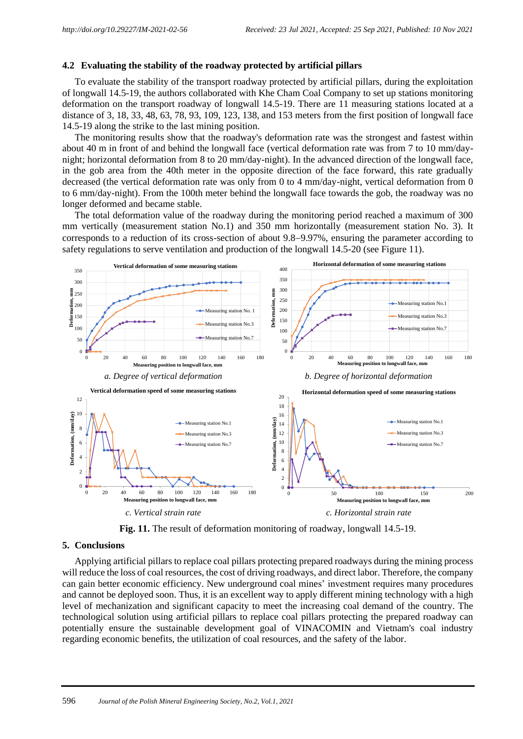### **4.2 Evaluating the stability of the roadway protected by artificial pillars**

To evaluate the stability of the transport roadway protected by artificial pillars, during the exploitation of longwall 14.5-19, the authors collaborated with Khe Cham Coal Company to set up stations monitoring deformation on the transport roadway of longwall 14.5-19. There are 11 measuring stations located at a distance of 3, 18, 33, 48, 63, 78, 93, 109, 123, 138, and 153 meters from the first position of longwall face 14.5-19 along the strike to the last mining position.

The monitoring results show that the roadway's deformation rate was the strongest and fastest within about 40 m in front of and behind the longwall face (vertical deformation rate was from 7 to 10 mm/daynight; horizontal deformation from 8 to 20 mm/day-night). In the advanced direction of the longwall face, in the gob area from the 40th meter in the opposite direction of the face forward, this rate gradually decreased (the vertical deformation rate was only from 0 to 4 mm/day-night, vertical deformation from 0 to 6 mm/day-night). From the 100th meter behind the longwall face towards the gob, the roadway was no longer deformed and became stable.

The total deformation value of the roadway during the monitoring period reached a maximum of 300 mm vertically (measurement station No.1) and 350 mm horizontally (measurement station No. 3). It corresponds to a reduction of its cross-section of about 9.8−9.97%, ensuring the parameter according to safety regulations to serve ventilation and production of the longwall 14.5-20 (see Figure 11).



**Fig. 11.** The result of deformation monitoring of roadway, longwall 14.5-19.

## **5. Conclusions**

Applying artificial pillars to replace coal pillars protecting prepared roadways during the mining process will reduce the loss of coal resources, the cost of driving roadways, and direct labor. Therefore, the company can gain better economic efficiency. New underground coal mines' investment requires many procedures and cannot be deployed soon. Thus, it is an excellent way to apply different mining technology with a high level of mechanization and significant capacity to meet the increasing coal demand of the country. The technological solution using artificial pillars to replace coal pillars protecting the prepared roadway can potentially ensure the sustainable development goal of VINACOMIN and Vietnam's coal industry regarding economic benefits, the utilization of coal resources, and the safety of the labor.